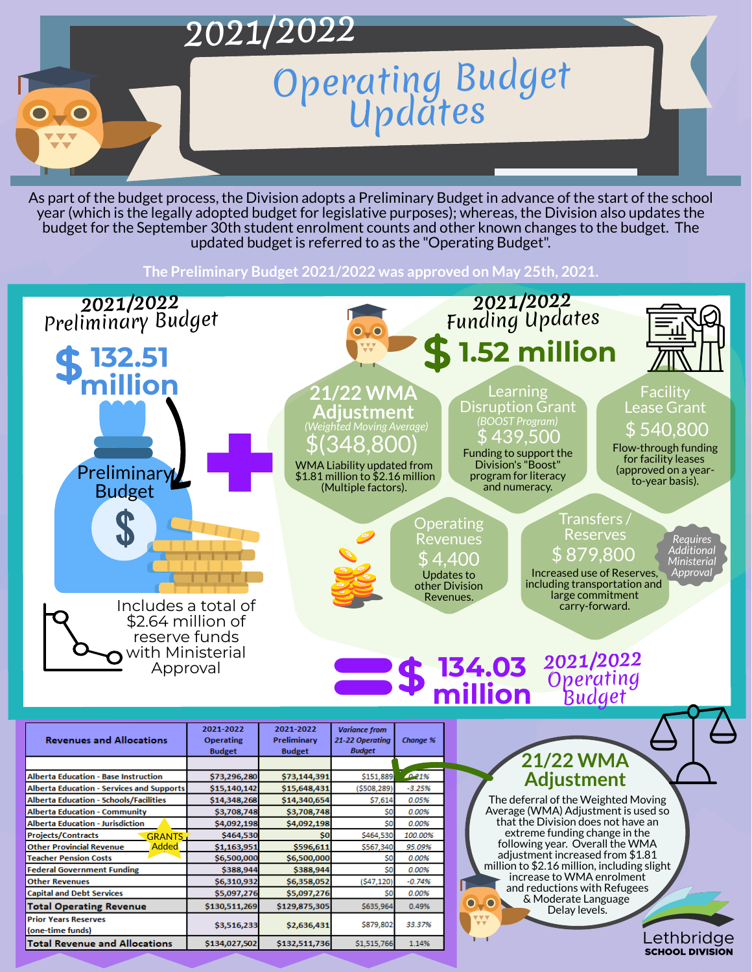

As part of the budget process, the Division adopts a Preliminary Budget in advance of the start of the school year (which is the legally adopted budget for legislative purposes); whereas, the Division also updates the budget for the September 30th student enrolment counts and other known changes to the budget. The updated budget is referred to as the "Operating Budget" .



**Operating** Revenues \$ 4,400 Updates to other Division Revenues.

**The Preliminary Budget 2021/2022 was approved on May 25th, 2021.**



WMA Liability updated from \$1.81 million to \$2.16 million (Multiple factors).

**Variance from** 

## Transfers / Reserves \$ 879,800

**Facility** Lease Grant \$ 540,800





Increased use of Reserves, including transportation and large commitment carry-forward.

**134.03 million 2021/2022** Operating Budget

## **21/22 WMA Adjustment**

**21/22 WMA Adjustment** \$(348,800) *(Weighted Moving Average)*

> The deferral of the Weighted Moving Average (WMA) Adjustment is used so that the Division does not have an extreme funding change in the following year. Overall the WMA adjustment increased from \$1.81 million to \$2.16 million, including slight increase to WMA enrolment and reductions with Refugees & Moderate Language OTO Delay levels.

| <b>Revenues and Allocations</b>                  | <b>Operating</b><br><b>Budget</b> | Preliminary<br><b>Budget</b> | 21-22 Operating<br><b>Budget</b> | <b>Change %</b> |
|--------------------------------------------------|-----------------------------------|------------------------------|----------------------------------|-----------------|
|                                                  |                                   |                              |                                  |                 |
| <b>Alberta Education - Base Instruction</b>      | \$73,296,280                      | \$73,144,391                 | \$151,889                        | 021%            |
| <b>Alberta Education - Services and Supports</b> | \$15,140,142                      | \$15,648,431                 | (5508, 289)                      | $-3.25%$        |
| <b>Alberta Education - Schools/Facilities</b>    | \$14,348,268                      | \$14,340,654                 | \$7,614                          | 0.05%           |
| <b>Alberta Education - Community</b>             | \$3,708,748                       | \$3,708,748                  | \$0                              | 0.00%           |
| <b>Alberta Education - Jurisdiction</b>          | \$4,092,198                       | \$4,092,198                  | \$0                              | 0.00%           |
| <b>Projects/Contracts</b><br><b>GRANTS</b>       | \$464,530                         | \$0                          | \$464,530                        | 100.00%         |
| <b>Added</b><br><b>Other Provincial Revenue</b>  | \$1,163,951                       | \$596,611                    | \$567,340                        | 95.09%          |
| <b>Teacher Pension Costs</b>                     | \$6,500,000                       | \$6,500,000                  | \$0                              | 0.00%           |
| <b>Federal Government Funding</b>                | \$388,944                         | \$388,944                    | S0                               | 0.00%           |
| <b>Other Revenues</b>                            | \$6,310,932                       | \$6,358,052                  | (547, 120)                       | $-0.74%$        |
| <b>Capital and Debt Services</b>                 | \$5,097,276                       | \$5,097,276                  | \$0                              | 0.00%           |
| <b>Total Operating Revenue</b>                   | \$130,511,269                     | \$129,875,305                | \$635,964                        | 0.49%           |
| <b>Prior Years Reserves</b><br>(one-time funds)  | \$3,516,233                       | \$2,636,431                  | \$879,802                        | 33.37%          |
| Total Revenue and Allocations                    | \$134,027,502                     | \$132,511,736                | \$1,515,766                      | 1.14%           |

2021-2022

2021-2022

Funding to support the Division's "Boost" program for literacy and numeracy.

Learning Disruption Grant \$ 439,500 *(BOOST Program)*

Flow-through funding for facility leases (approved on a yearto-year basis).

> *Requires Additional Ministerial Approval*

Lethbridge

**SCHOOL DIVISION**